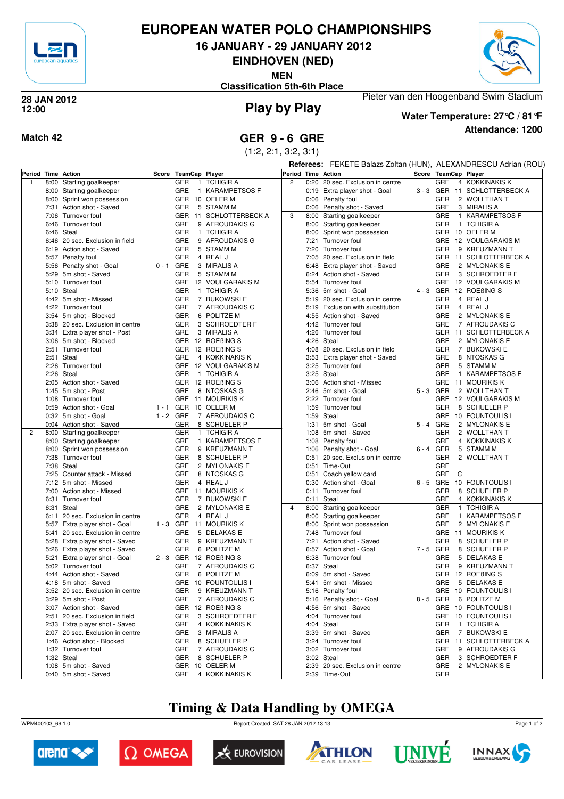

## **EUROPEAN WATER POLO CHAMPIONSHIPS**

**16 JANUARY - 29 JANUARY 2012**

**EINDHOVEN (NED)**

**MEN**

**Classification 5th-6th Place**



#### **Play by Play 28 JAN 2012 12:00**



### **Attendance: 1200 Water Temperature: 27°C / 81°F**

Pieter van den Hoogenband Swim Stadium

**Match 42 GER 9 - 6 GRE**

(1:2, 2:1, 3:2, 3:1)

|              |      |                                                       |             |            |                                  |                    |      |                                                   |         | Referees: FEKETE Balazs Zoltan (HUN), ALEXANDRESCU Adrian (ROU) |                            |  |  |  |
|--------------|------|-------------------------------------------------------|-------------|------------|----------------------------------|--------------------|------|---------------------------------------------------|---------|-----------------------------------------------------------------|----------------------------|--|--|--|
|              |      | Period Time Action                                    |             |            | Score TeamCap Player             | Period Time Action |      |                                                   |         |                                                                 | Score TeamCap Player       |  |  |  |
| $\mathbf{1}$ |      | 8:00 Starting goalkeeper                              |             | GER        | <b>TCHIGIR A</b><br>$\mathbf{1}$ | $\overline{c}$     |      | 0:20 20 sec. Exclusion in centre                  |         | <b>GRE</b>                                                      | 4 KOKKINAKIS K             |  |  |  |
|              |      | 8:00 Starting goalkeeper                              |             | GRE        | 1 KARAMPETSOS F                  |                    |      | 0:19 Extra player shot - Goal                     |         |                                                                 | 3-3 GER 11 SCHLOTTERBECK A |  |  |  |
|              |      | 8:00 Sprint won possession                            |             |            | GER 10 OELER M                   |                    |      | 0:06 Penalty foul                                 |         | GER                                                             | 2 WOLLTHAN T               |  |  |  |
|              |      | 7:31 Action shot - Saved                              |             | <b>GER</b> | 5 STAMM M                        |                    |      | 0:06 Penalty shot - Saved                         |         | GRE                                                             | 3 MIRALIS A                |  |  |  |
|              | 7:06 | Turnover foul                                         |             |            | GER 11 SCHLOTTERBECK A           | 3                  |      | 8:00 Starting goalkeeper                          |         | GRE                                                             | 1 KARAMPETSOS F            |  |  |  |
|              |      | 6:46 Turnover foul                                    |             | <b>GRE</b> | 9 AFROUDAKIS G                   |                    |      | 8:00 Starting goalkeeper                          |         | GER                                                             | 1 TCHIGIR A                |  |  |  |
|              |      | 6:46 Steal                                            |             | GER        | 1 TCHIGIR A                      |                    |      | 8:00 Sprint won possession                        |         |                                                                 | GER 10 OELER M             |  |  |  |
|              |      | 6:46 20 sec. Exclusion in field                       |             | GRE        | 9 AFROUDAKIS G                   |                    |      | 7:21 Turnover foul                                |         | <b>GRE</b>                                                      | 12 VOULGARAKIS M           |  |  |  |
|              |      | 6:19 Action shot - Saved                              |             | GER        | 5 STAMM M                        |                    |      | 7:20 Turnover foul                                |         | GER                                                             | 9 KREUZMANN T              |  |  |  |
|              |      | 5:57 Penalty foul                                     |             | <b>GER</b> | 4 REAL J                         |                    |      | 7:05 20 sec. Exclusion in field                   |         |                                                                 | GER 11 SCHLOTTERBECK A     |  |  |  |
|              |      | 5:56 Penalty shot - Goal                              | $0 - 1$     | GRE        | 3 MIRALIS A                      |                    |      | 6:48 Extra player shot - Saved                    |         | <b>GRE</b>                                                      | 2 MYLONAKIS E              |  |  |  |
|              |      | 5:29 5m shot - Saved                                  |             | <b>GER</b> | 5 STAMM M                        |                    |      | 6:24 Action shot - Saved                          |         | GER                                                             | 3 SCHROEDTER F             |  |  |  |
|              |      | 5:10 Turnover foul                                    |             |            | GRE 12 VOULGARAKIS M             |                    |      | 5:54 Turnover foul                                |         |                                                                 | GRE 12 VOULGARAKIS M       |  |  |  |
|              |      | 5:10 Steal                                            |             | <b>GER</b> | 1 TCHIGIR A                      |                    | 5:36 | 5m shot - Goal                                    |         | 4-3 GER                                                         | 12 ROEBING S               |  |  |  |
|              |      | 4:42 5m shot - Missed                                 |             | GER        | 7 BUKOWSKI E                     |                    |      | 5:19 20 sec. Exclusion in centre                  |         | GER                                                             | 4 REAL J                   |  |  |  |
|              |      | 4:22 Turnover foul                                    |             | GRE        | 7 AFROUDAKIS C                   |                    | 5:19 | Exclusion with substitution                       |         | GER                                                             | 4 REAL J                   |  |  |  |
|              |      | 3:54 5m shot - Blocked                                |             | GER        | 6 POLITZE M                      |                    |      | 4:55 Action shot - Saved                          |         | GRE                                                             | 2 MYLONAKIS E              |  |  |  |
|              |      | 3:38 20 sec. Exclusion in centre                      |             | <b>GER</b> | 3 SCHROEDTER F                   |                    |      | 4:42 Turnover foul                                |         | GRE                                                             | 7 AFROUDAKIS C             |  |  |  |
|              |      | 3:34 Extra player shot - Post                         |             | <b>GRE</b> | 3 MIRALIS A                      |                    |      | 4:26 Turnover foul                                |         |                                                                 | GER 11 SCHLOTTERBECK A     |  |  |  |
|              |      | 3:06 5m shot - Blocked                                |             |            | GER 12 ROEBING S                 |                    |      | 4:26 Steal                                        |         | GRE                                                             | 2 MYLONAKIS E              |  |  |  |
|              |      | 2:51 Turnover foul                                    |             |            | GER 12 ROEBING S                 |                    |      | 4:08 20 sec. Exclusion in field                   |         | GER                                                             | 7 BUKOWSKI E               |  |  |  |
|              |      | 2:51 Steal                                            |             | GRE        | 4 KOKKINAKIS K                   |                    |      | 3:53 Extra player shot - Saved                    |         | GRE                                                             | 8 NTOSKAS G                |  |  |  |
|              |      | 2:26 Turnover foul                                    |             |            | GRE 12 VOULGARAKIS M             |                    |      | 3:25 Turnover foul                                |         | GER                                                             | 5 STAMM M                  |  |  |  |
|              |      | 2:26 Steal                                            |             | GER        | 1 TCHIGIR A                      |                    |      | 3:25 Steal                                        |         | GRE                                                             | 1 KARAMPETSOS F            |  |  |  |
|              |      | 2:05 Action shot - Saved                              |             |            | GER 12 ROEBING S                 |                    |      | 3:06 Action shot - Missed                         |         |                                                                 | GRE 11 MOURIKIS K          |  |  |  |
|              |      | 1:45 5m shot - Post                                   |             | GRE        | 8 NTOSKAS G                      |                    |      | 2:46 5m shot - Goal                               | 5-3 GER |                                                                 | 2 WOLLTHAN T               |  |  |  |
|              |      | 1:08 Turnover foul                                    |             |            | GRE 11 MOURIKIS K                |                    | 2:22 | Turnover foul                                     |         | <b>GRE</b>                                                      | 12 VOULGARAKIS M           |  |  |  |
|              |      | 0:59 Action shot - Goal                               |             |            | 1 - 1 GER 10 OELER M             |                    |      | 1:59 Turnover foul                                |         | GER                                                             | 8 SCHUELER P               |  |  |  |
|              |      | 0:32 5m shot - Goal                                   | $1 - 2$ GRE |            | 7 AFROUDAKIS C                   |                    |      | 1:59 Steal                                        |         | GRE                                                             | 10 FOUNTOULIS I            |  |  |  |
|              |      | 0:04 Action shot - Saved                              |             | GER        | 8 SCHUELER P                     |                    |      | 1:31 5m shot - Goal                               | 5-4 GRE |                                                                 | 2 MYLONAKIS E              |  |  |  |
| 2            | 8:00 | Starting goalkeeper                                   |             | GER        | 1 TCHIGIR A                      |                    |      | 1:08 5m shot - Saved                              |         | GER                                                             | 2 WOLLTHAN T               |  |  |  |
|              |      | 8:00 Starting goalkeeper                              |             | GRE        | 1 KARAMPETSOS F                  |                    |      | 1:08 Penalty foul                                 |         | GRE                                                             | 4 KOKKINAKIS K             |  |  |  |
|              |      | 8:00 Sprint won possession                            |             | <b>GER</b> | 9 KREUZMANN T                    |                    |      | 1:06 Penalty shot - Goal                          | 6-4 GER |                                                                 | 5 STAMM M                  |  |  |  |
|              |      | 7:38 Turnover foul                                    |             | <b>GER</b> | 8 SCHUELER P                     |                    | 0:51 | 20 sec. Exclusion in centre                       |         | <b>GER</b>                                                      | 2 WOLLTHAN T               |  |  |  |
|              |      | 7:38 Steal                                            |             | <b>GRE</b> | 2 MYLONAKIS E                    |                    |      | 0:51 Time-Out                                     |         | GRE                                                             |                            |  |  |  |
|              |      | 7:25 Counter attack - Missed<br>7:12 5m shot - Missed |             | GRE<br>GER | 8 NTOSKAS G<br>4 REAL J          |                    |      | 0:51 Coach yellow card<br>0:30 Action shot - Goal | 6-5 GRE | GRE                                                             | C<br>10 FOUNTOULIS I       |  |  |  |
|              |      | 7:00 Action shot - Missed                             |             |            | GRE 11 MOURIKIS K                |                    |      | 0:11 Turnover foul                                |         | GER                                                             | 8 SCHUELER P               |  |  |  |
|              |      | 6:31 Turnover foul                                    |             | GER        | 7 BUKOWSKI E                     |                    |      | 0:11 Steal                                        |         | GRE                                                             | 4 KOKKINAKIS K             |  |  |  |
|              |      | 6:31 Steal                                            |             | GRE        | 2 MYLONAKIS E                    | $\overline{4}$     |      | 8:00 Starting goalkeeper                          |         | <b>GER</b>                                                      | 1 TCHIGIR A                |  |  |  |
|              |      | 6:11 20 sec. Exclusion in centre                      |             | <b>GER</b> | 4 REAL J                         |                    |      | 8:00 Starting goalkeeper                          |         | GRE                                                             | 1 KARAMPETSOS F            |  |  |  |
|              |      | 5:57 Extra player shot - Goal                         |             |            | 1 - 3 GRE 11 MOURIKIS K          |                    | 8:00 | Sprint won possession                             |         | GRE                                                             | 2 MYLONAKIS E              |  |  |  |
|              |      | 5:41 20 sec. Exclusion in centre                      |             | GRE        | 5 DELAKAS E                      |                    |      | 7:48 Turnover foul                                |         |                                                                 | GRE 11 MOURIKIS K          |  |  |  |
|              |      | 5:28 Extra player shot - Saved                        |             | <b>GER</b> | 9 KREUZMANN T                    |                    | 7:21 | Action shot - Saved                               |         | GER                                                             | 8 SCHUELER P               |  |  |  |
|              |      | 5:26 Extra player shot - Saved                        |             | <b>GER</b> | 6 POLITZE M                      |                    |      | 6:57 Action shot - Goal                           | 7-5 GER |                                                                 | 8 SCHUELER P               |  |  |  |
|              |      | 5:21 Extra player shot - Goal                         |             |            | 2-3 GER 12 ROEBING S             |                    |      | 6:38 Turnover foul                                |         | GRE                                                             | 5 DELAKAS E                |  |  |  |
|              |      | 5:02 Turnover foul                                    |             | GRE        | 7 AFROUDAKIS C                   |                    |      | 6:37 Steal                                        |         | GER                                                             | 9 KREUZMANN T              |  |  |  |
|              |      | 4:44 Action shot - Saved                              |             | <b>GER</b> | 6 POLITZE M                      |                    |      | 6:09 5m shot - Saved                              |         |                                                                 | GER 12 ROEBING S           |  |  |  |
|              |      | 4:18 5m shot - Saved                                  |             |            | GRE 10 FOUNTOULIS I              |                    |      | 5:41 5m shot - Missed                             |         | <b>GRE</b>                                                      | 5 DELAKAS E                |  |  |  |
|              |      | 3:52 20 sec. Exclusion in centre                      |             | GER        | 9 KREUZMANN T                    |                    |      | 5:16 Penalty foul                                 |         |                                                                 | GRE 10 FOUNTOULIS I        |  |  |  |
|              |      | 3:29 5m shot - Post                                   |             | GRE        | 7 AFROUDAKIS C                   |                    |      | 5:16 Penalty shot - Goal                          | 8-5 GER |                                                                 | 6 POLITZE M                |  |  |  |
|              |      | 3:07 Action shot - Saved                              |             |            | GER 12 ROEBING S                 |                    |      | 4:56 5m shot - Saved                              |         |                                                                 | GRE 10 FOUNTOULIS I        |  |  |  |
|              |      | 2:51 20 sec. Exclusion in field                       |             | GER        | 3 SCHROEDTER F                   |                    |      | 4:04 Turnover foul                                |         |                                                                 | GRE 10 FOUNTOULIS I        |  |  |  |
|              |      | 2:33 Extra player shot - Saved                        |             | GRE        | 4 KOKKINAKIS K                   |                    |      | 4:04 Steal                                        |         | GER                                                             | 1 TCHIGIR A                |  |  |  |
|              |      | 2:07 20 sec. Exclusion in centre                      |             | GRE        | 3 MIRALIS A                      |                    |      | 3:39 5m shot - Saved                              |         | GER                                                             | 7 BUKOWSKI E               |  |  |  |
|              |      | 1:46 Action shot - Blocked                            |             | GER        | 8 SCHUELER P                     |                    |      | 3:24 Turnover foul                                |         |                                                                 | GER 11 SCHLOTTERBECK A     |  |  |  |
|              |      | 1:32 Turnover foul                                    |             | GRE        | 7 AFROUDAKIS C                   |                    |      | 3:02 Turnover foul                                |         | GRE                                                             | 9 AFROUDAKIS G             |  |  |  |
|              |      | 1:32 Steal                                            |             | <b>GER</b> | 8 SCHUELER P                     |                    |      | 3:02 Steal                                        |         | GER                                                             | 3 SCHROEDTER F             |  |  |  |
|              |      | 1:08 5m shot - Saved                                  |             |            | GER 10 OELER M                   |                    |      | 2:39 20 sec. Exclusion in centre                  |         | GRE                                                             | 2 MYLONAKIS E              |  |  |  |
|              |      | 0:40 5m shot - Saved                                  |             |            | GRE 4 KOKKINAKIS K               |                    |      | 2:39 Time-Out                                     |         | GER                                                             |                            |  |  |  |

# **Timing & Data Handling by OMEGA**

WPM400103\_69 1.0 Report Created SAT 28 JAN 2012 13:13













Page 1 of 2